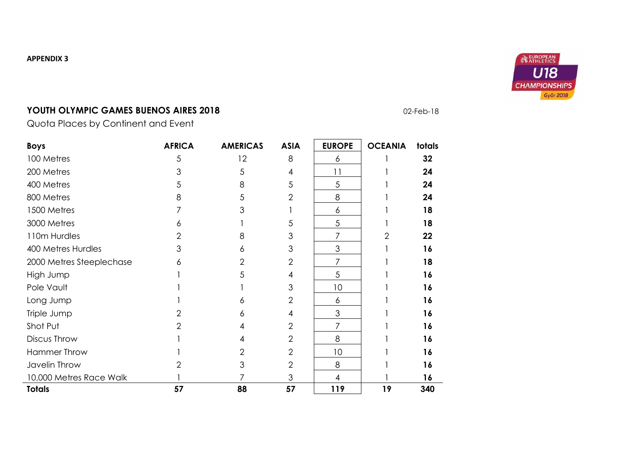### **APPENDIX 3**



# **YOUTH OLYMPIC GAMES BUENOS AIRES 2018 DEALLY ATTENT AT A COMPTANT ON A SUMPLY ON A CONTROL ON A SUMPLY ON A CONTROL**

Quota Places by Continent and Event

| <b>Boys</b>              | <b>AFRICA</b> | <b>AMERICAS</b> | <b>ASIA</b>    | <b>EUROPE</b>  | <b>OCEANIA</b> | totals |
|--------------------------|---------------|-----------------|----------------|----------------|----------------|--------|
| 100 Metres               | 5             | 12              | 8              | 6              |                | 32     |
| 200 Metres               |               | 5               | 4              | 11             |                | 24     |
| 400 Metres               |               | 8               | 5              | 5              |                | 24     |
| 800 Metres               | 8             | 5               | $\overline{2}$ | 8              |                | 24     |
| 1500 Metres              |               | 3               |                | 6              |                | 18     |
| 3000 Metres              | 6             |                 | 5              | 5              |                | 18     |
| 110m Hurdles             |               | 8               | 3              | 7              | 2              | 22     |
| 400 Metres Hurdles       | З             | 6               | 3              | 3              |                | 16     |
| 2000 Metres Steeplechase | 6             | 2               | $\overline{2}$ | 7              |                | 18     |
| High Jump                |               | 5               | 4              | 5              |                | 16     |
| Pole Vault               |               |                 | 3              | 10             |                | 16     |
| Long Jump                |               | 6               | $\overline{2}$ | 6              |                | 16     |
| Triple Jump              |               | 6               | 4              | 3              |                | 16     |
| Shot Put                 | 2             | 4               | $\overline{2}$ | 7              |                | 16     |
| Discus Throw             |               | 4               | $\overline{2}$ | 8              |                | 16     |
| <b>Hammer Throw</b>      |               | 2               | $\overline{2}$ | 10             |                | 16     |
| Javelin Throw            |               | 3               | $\overline{2}$ | 8              |                | 16     |
| 10,000 Metres Race Walk  |               |                 | 3              | $\overline{4}$ |                | 16     |
| <b>Totals</b>            | 57            | 88              | 57             | 119            | 19             | 340    |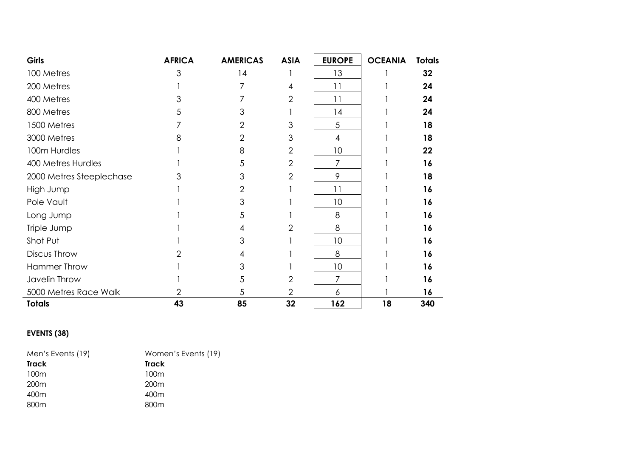| <b>Girls</b>             | <b>AFRICA</b> | <b>AMERICAS</b> | <b>ASIA</b>    | <b>EUROPE</b>  | <b>OCEANIA</b> | <b>Totals</b> |
|--------------------------|---------------|-----------------|----------------|----------------|----------------|---------------|
| 100 Metres               | 3             | 14              |                | 13             |                | 32            |
| 200 Metres               |               |                 | 4              | 11             |                | 24            |
| 400 Metres               | 3             |                 | $\overline{2}$ | 11             |                | 24            |
| 800 Metres               | 5             | 3               |                | 14             |                | 24            |
| 1500 Metres              |               | $\overline{2}$  | 3              | 5              |                | 18            |
| 3000 Metres              | 8             | $\overline{2}$  | 3              | 4              |                | 18            |
| 100m Hurdles             |               | 8               | $\overline{2}$ | 10             |                | 22            |
| 400 Metres Hurdles       |               | 5               | $\overline{2}$ | $\overline{7}$ |                | 16            |
| 2000 Metres Steeplechase | 3             | 3               | $\overline{2}$ | 9              |                | 18            |
| High Jump                |               | 2               |                | 11             |                | 16            |
| Pole Vault               |               | 3               |                | 10             |                | 16            |
| Long Jump                |               | 5               |                | 8              |                | 16            |
| Triple Jump              |               | 4               | $\overline{2}$ | 8              |                | 16            |
| Shot Put                 |               | 3               |                | 10             |                | 16            |
| Discus Throw             |               | 4               |                | 8              |                | 16            |
| <b>Hammer Throw</b>      |               | 3               |                | 10             |                | 16            |
| Javelin Throw            |               | 5               | $\overline{2}$ | $\overline{7}$ |                | 16            |
| 5000 Metres Race Walk    | 2             | 5               | $\overline{2}$ | 6              |                | 16            |
| <b>Totals</b>            | 43            | 85              | 32             | 162            | 18             | 340           |

## **EVENTS (38)**

| Men's Events (19) | Women's Events (19) |
|-------------------|---------------------|
| Track             | <b>Track</b>        |
| 100 <sub>m</sub>  | 100m                |
| 200 <sub>m</sub>  | 200 <sub>m</sub>    |
| 400m              | 400m                |
| 800m              | 800m                |
|                   |                     |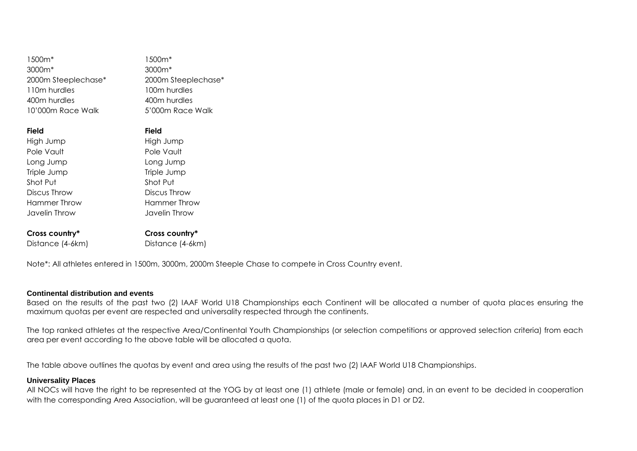| 1500 <sub>m</sub> * | 1500m*              |
|---------------------|---------------------|
| 3000m <sup>*</sup>  | 3000m <sup>*</sup>  |
| 2000m Steeplechase* | 2000m Steeplechase* |
| 110m hurdles        | 100m hurdles        |
| 400m hurdles        | 400m hurdles        |
| 10'000m Race Walk   | 5'000m Race Walk    |
|                     |                     |
| <b>Field</b>        | <b>Field</b>        |
| High Jump           | High Jump           |
| Pole Vault          | Pole Vault          |
| Long Jump           | Long Jump           |
| Triple Jump         | Triple Jump         |
| Shot Put            | Shot Put            |
| Discus Throw        | Discus Throw        |
| Hammer Throw        | Hammer Throw        |
| Javelin Throw       | Javelin Throw       |
| Cross country*      | Cross country*      |
| Distance (4-6km)    | Distance (4-6km)    |

Note\*: All athletes entered in 1500m, 3000m, 2000m Steeple Chase to compete in Cross Country event.

#### **Continental distribution and events**

Based on the results of the past two (2) IAAF World U18 Championships each Continent will be allocated a number of quota places ensuring the maximum quotas per event are respected and universality respected through the continents.

The top ranked athletes at the respective Area/Continental Youth Championships (or selection competitions or approved selection criteria) from each area per event according to the above table will be allocated a quota.

The table above outlines the quotas by event and area using the results of the past two (2) IAAF World U18 Championships.

#### **Universality Places**

All NOCs will have the right to be represented at the YOG by at least one (1) athlete (male or female) and, in an event to be decided in cooperation with the corresponding Area Association, will be guaranteed at least one (1) of the quota places in D1 or D2.